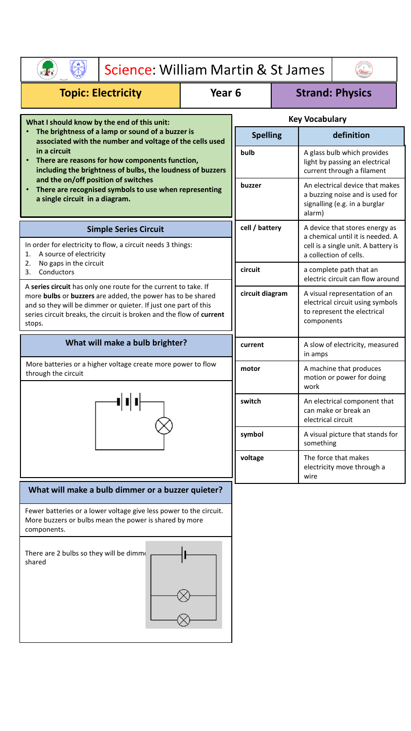| Science: William Martin & St James                                                                                                                                                                                                                                                                                                                                                                                            |  |                        |                                                               |                                                                                                                |  |
|-------------------------------------------------------------------------------------------------------------------------------------------------------------------------------------------------------------------------------------------------------------------------------------------------------------------------------------------------------------------------------------------------------------------------------|--|------------------------|---------------------------------------------------------------|----------------------------------------------------------------------------------------------------------------|--|
| <b>Topic: Electricity</b><br>Year <sub>6</sub>                                                                                                                                                                                                                                                                                                                                                                                |  | <b>Strand: Physics</b> |                                                               |                                                                                                                |  |
| What I should know by the end of this unit:<br>The brightness of a lamp or sound of a buzzer is<br>associated with the number and voltage of the cells used<br>in a circuit<br>There are reasons for how components function,<br>including the brightness of bulbs, the loudness of buzzers<br>and the on/off position of switches<br>There are recognised symbols to use when representing<br>a single circuit in a diagram. |  | <b>Key Vocabulary</b>  |                                                               |                                                                                                                |  |
|                                                                                                                                                                                                                                                                                                                                                                                                                               |  | <b>Spelling</b>        |                                                               | definition                                                                                                     |  |
|                                                                                                                                                                                                                                                                                                                                                                                                                               |  | bulb                   |                                                               | A glass bulb which provides<br>light by passing an electrical<br>current through a filament                    |  |
|                                                                                                                                                                                                                                                                                                                                                                                                                               |  | buzzer                 |                                                               | An electrical device that makes<br>a buzzing noise and is used for<br>signalling (e.g. in a burglar<br>alarm)  |  |
| <b>Simple Series Circuit</b>                                                                                                                                                                                                                                                                                                                                                                                                  |  | cell / battery         |                                                               | A device that stores energy as<br>a chemical until it is needed. A                                             |  |
| In order for electricity to flow, a circuit needs 3 things:<br>A source of electricity<br>1.<br>No gaps in the circuit<br>2.                                                                                                                                                                                                                                                                                                  |  |                        | cell is a single unit. A battery is<br>a collection of cells. |                                                                                                                |  |
| 3.<br>Conductors                                                                                                                                                                                                                                                                                                                                                                                                              |  | circuit                |                                                               | a complete path that an<br>electric circuit can flow around                                                    |  |
| A series circuit has only one route for the current to take. If<br>more bulbs or buzzers are added, the power has to be shared<br>and so they will be dimmer or quieter. If just one part of this<br>series circuit breaks, the circuit is broken and the flow of current<br>stops.                                                                                                                                           |  | circuit diagram        |                                                               | A visual representation of an<br>electrical circuit using symbols<br>to represent the electrical<br>components |  |
| What will make a bulb brighter?                                                                                                                                                                                                                                                                                                                                                                                               |  | current                |                                                               | A slow of electricity, measured<br>in amps                                                                     |  |
| More batteries or a higher voltage create more power to flow<br>through the circuit<br>$-1$                                                                                                                                                                                                                                                                                                                                   |  | motor                  |                                                               | A machine that produces<br>motion or power for doing<br>work                                                   |  |
|                                                                                                                                                                                                                                                                                                                                                                                                                               |  | switch                 |                                                               | An electrical component that<br>can make or break an<br>electrical circuit                                     |  |
|                                                                                                                                                                                                                                                                                                                                                                                                                               |  | symbol                 |                                                               | A visual picture that stands for<br>something                                                                  |  |
|                                                                                                                                                                                                                                                                                                                                                                                                                               |  | voltage                |                                                               | The force that makes<br>electricity move through a<br>wire                                                     |  |
| What will make a bulb dimmer or a buzzer quieter?                                                                                                                                                                                                                                                                                                                                                                             |  |                        |                                                               |                                                                                                                |  |
| Fewer batteries or a lower voltage give less power to the circuit.<br>More buzzers or bulbs mean the power is shared by more<br>components.                                                                                                                                                                                                                                                                                   |  |                        |                                                               |                                                                                                                |  |
| There are 2 bulbs so they will be dimme<br>shared                                                                                                                                                                                                                                                                                                                                                                             |  |                        |                                                               |                                                                                                                |  |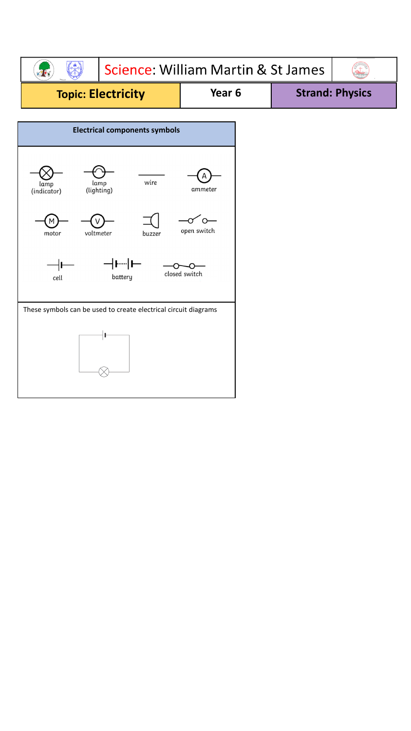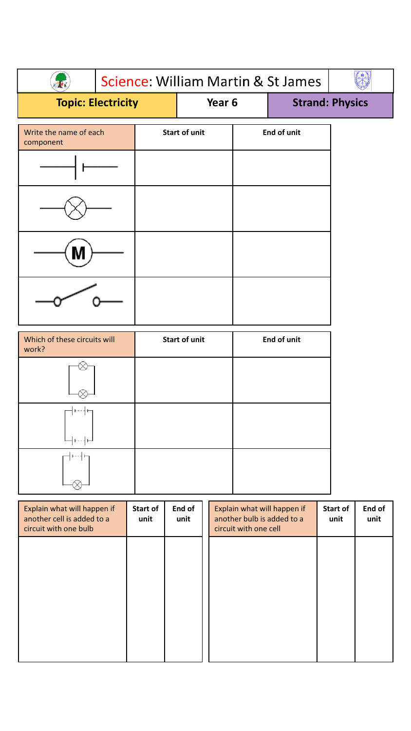| Science: William Martin & St James  |  |        |                      |  |                        |  |
|-------------------------------------|--|--------|----------------------|--|------------------------|--|
| <b>Topic: Electricity</b>           |  | Year 6 |                      |  | <b>Strand: Physics</b> |  |
| Write the name of each<br>component |  |        | <b>Start of unit</b> |  | <b>End of unit</b>     |  |
|                                     |  |        |                      |  |                        |  |
|                                     |  |        |                      |  |                        |  |
|                                     |  |        |                      |  |                        |  |
|                                     |  |        |                      |  |                        |  |

| Which of these circuits will<br>work? | <b>Start of unit</b> | <b>End of unit</b> |
|---------------------------------------|----------------------|--------------------|
|                                       |                      |                    |
| $- - -$                               |                      |                    |
|                                       |                      |                    |

| Explain what will happen if<br>another cell is added to a<br>circuit with one bulb | Start of<br>unit | End of<br>unit | Explain what will happen if<br>another bulb is added to a<br>circuit with one cell | Start of<br>unit | End of<br>unit |
|------------------------------------------------------------------------------------|------------------|----------------|------------------------------------------------------------------------------------|------------------|----------------|
|                                                                                    |                  |                |                                                                                    |                  |                |
|                                                                                    |                  |                |                                                                                    |                  |                |
|                                                                                    |                  |                |                                                                                    |                  |                |
|                                                                                    |                  |                |                                                                                    |                  |                |